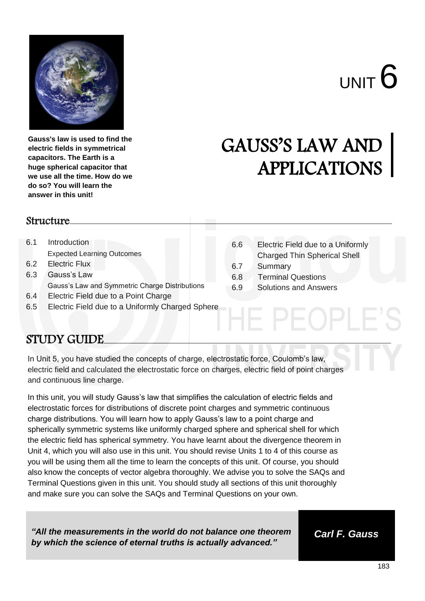

**Gauss's law is used to find the electric fields in symmetrical capacitors. The Earth is a huge spherical capacitor that we use all the time. How do we do so? You will learn the answer in this unit!**

# GAUSS'S LAW AND APPLICATIONS

6.6 Electric Field due to a Uniformly Charged Thin Spherical Shell

 $P \vdash Q P$ 

6.7 Summary

6.8 Terminal Questions 6.9 Solutions and Answers

#### Structure

- 6.1 Introduction Expected Learning Outcomes
- 6.2 Electric Flux
- 6.3 Gauss's Law Gauss's Law and Symmetric Charge Distributions
- 6.4 Electric Field due to a Point Charge
- 6.5 Electric Field due to a Uniformly Charged Sphere

## STUDY GUIDE

In Unit 5, you have studied the concepts of charge, electrostatic force, Coulomb's law, electric field and calculated the electrostatic force on charges, electric field of point charges and continuous line charge.

In this unit, you will study Gauss's law that simplifies the calculation of electric fields and electrostatic forces for distributions of discrete point charges and symmetric continuous charge distributions. You will learn how to apply Gauss's law to a point charge and spherically symmetric systems like uniformly charged sphere and spherical shell for which the electric field has spherical symmetry. You have learnt about the divergence theorem in Unit 4, which you will also use in this unit. You should revise Units 1 to 4 of this course as you will be using them all the time to learn the concepts of this unit. Of course, you should also know the concepts of vector algebra thoroughly. We advise you to solve the SAQs and Terminal Questions given in this unit. You should study all sections of this unit thoroughly and make sure you can solve the SAQs and Terminal Questions on your own.

*"All the measurements in the world do not balance one theorem by which the science of eternal truths is actually advanced."*

*Carl F. Gauss*

183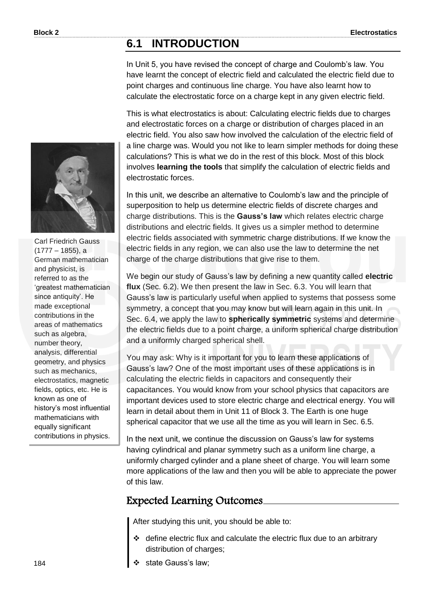### **6.1 INTRODUCTION**

In Unit 5, you have revised the concept of charge and Coulomb's law. You have learnt the concept of electric field and calculated the electric field due to point charges and continuous line charge. You have also learnt how to calculate the electrostatic force on a charge kept in any given electric field.

This is what electrostatics is about: Calculating electric fields due to charges and electrostatic forces on a charge or distribution of charges placed in an electric field. You also saw how involved the calculation of the electric field of a line charge was. Would you not like to learn simpler methods for doing these calculations? This is what we do in the rest of this block. Most of this block involves **learning the tools** that simplify the calculation of electric fields and electrostatic forces.

In this unit, we describe an alternative to Coulomb's law and the principle of superposition to help us determine electric fields of discrete charges and charge distributions. This is the **Gauss's law** which relates electric charge distributions and electric fields. It gives us a simpler method to determine electric fields associated with symmetric charge distributions. If we know the electric fields in any region, we can also use the law to determine the net charge of the charge distributions that give rise to them.

We begin our study of Gauss's law by defining a new quantity called **electric flux** (Sec. 6.2). We then present the law in Sec. 6.3. You will learn that Gauss's law is particularly useful when applied to systems that possess some symmetry, a concept that you may know but will learn again in this unit. In Sec. 6.4, we apply the law to **spherically symmetric** systems and determine the electric fields due to a point charge, a uniform spherical charge distribution and a uniformly charged spherical shell.

You may ask: Why is it important for you to learn these applications of Gauss's law? One of the most important uses of these applications is in calculating the electric fields in capacitors and consequently their capacitances. You would know from your school physics that capacitors are important devices used to store electric charge and electrical energy. You will learn in detail about them in Unit 11 of Block 3. The Earth is one huge spherical capacitor that we use all the time as you will learn in Sec. 6.5.

In the next unit, we continue the discussion on Gauss's law for systems having cylindrical and planar symmetry such as a uniform line charge, a uniformly charged cylinder and a plane sheet of charge. You will learn some more applications of the law and then you will be able to appreciate the power of this law.

## Expected Learning Outcomes

After studying this unit, you should be able to:

- define electric flux and calculate the electric flux due to an arbitrary distribution of charges;
- state Gauss's law;



Carl Friedrich Gauss (1777 – 1855), a German mathematician and physicist, is referred to as the 'greatest mathematician since antiquity'. He made exceptional contributions in the areas of mathematics such as algebra, number theory, analysis, differential geometry, and physics such as mechanics, electrostatics, magnetic fields, optics, etc. He is known as one of history's most influential mathematicians with equally significant contributions in physics.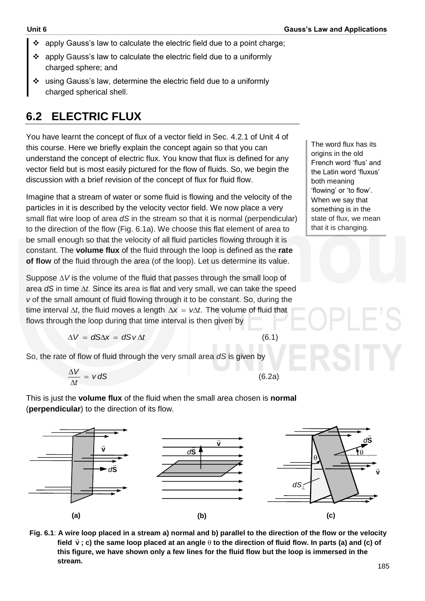- $\div$  apply Gauss's law to calculate the electric field due to a point charge;
- apply Gauss's law to calculate the electric field due to a uniformly charged sphere; and
- using Gauss's law, determine the electric field due to a uniformly charged spherical shell.

## **6.2 ELECTRIC FLUX**

You have learnt the concept of flux of a vector field in Sec. 4.2.1 of Unit 4 of this course. Here we briefly explain the concept again so that you can understand the concept of electric flux. You know that flux is defined for any vector field but is most easily pictured for the flow of fluids. So, we begin the discussion with a brief revision of the concept of flux for fluid flow.

Imagine that a stream of water or some fluid is flowing and the velocity of the particles in it is described by the velocity vector field. We now place a very small flat wire loop of area *dS* in the stream so that it is normal (perpendicular) to the direction of the flow (Fig. 6.1a). We choose this flat element of area to be small enough so that the velocity of all fluid particles flowing through it is constant. The **volume flux** of the fluid through the loop is defined as the **rate of flow** of the fluid through the area (of the loop). Let us determine its value.

Suppose  $\Delta V$  is the volume of the fluid that passes through the small loop of area  $dS$  in time  $\Delta t$ . Since its area is flat and very small, we can take the speed *v* of the small amount of fluid flowing through it to be constant. So, during the time interval  $\Delta t$ , the fluid moves a length  $\Delta x = \nu \Delta t$ . The volume of fluid that flows through the loop during that time interval is then given by

$$
\Delta V = dS\Delta x = dSv\Delta t
$$

(6.1)

So, the rate of flow of fluid through the very small area *dS* is given by

$$
\frac{\Delta V}{\Delta t} = v dS \tag{6.2a}
$$

This is just the **volume flux** of the fluid when the small area chosen is **normal**  (**perpendicular**) to the direction of its flow.



**Fig. 6.1**: **A wire loop placed in a stream a) normal and b) parallel to the direction of the flow or the velocity**  Field  $\vec{v}$ ; c) the same loop placed at an angle  $\theta$  to the direction of fluid flow. In parts (a) and (c) of **this figure, we have shown only a few lines for the fluid flow but the loop is immersed in the stream.**

The word flux has its origins in the old French word 'flus' and the Latin word 'fluxus' both meaning 'flowing' or 'to flow'. When we say that something is in the state of flux, we mean that it is changing.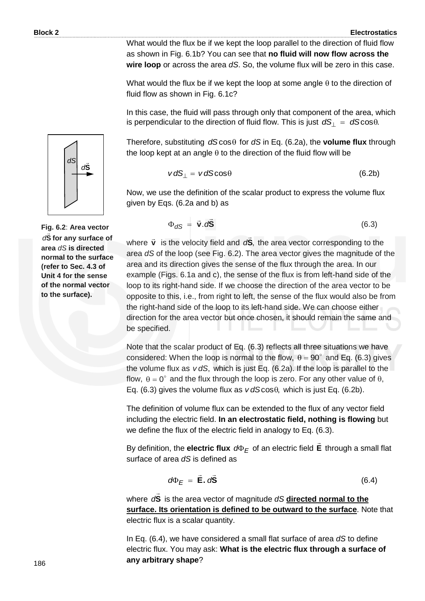(6.3)

What would the flux be if we kept the loop parallel to the direction of fluid flow as shown in Fig. 6.1b? You can see that **no fluid will now flow across the wire loop** or across the area *dS*. So, the volume flux will be zero in this case.

What would the flux be if we kept the loop at some angle  $\theta$  to the direction of fluid flow as shown in Fig. 6.1c?

In this case, the fluid will pass through only that component of the area, which is perpendicular to the direction of fluid flow. This is just  $\, d{\sf S}_{\perp} \, = \, d{\sf S}\text{cos}\theta .$ 

Therefore, substituting *dS*cos for *dS* in Eq. (6.2a), the **volume flux** through the loop kept at an angle  $\theta$  to the direction of the fluid flow will be

$$
v dS_{\perp} = v dS \cos \theta \tag{6.2b}
$$

Now, we use the definition of the scalar product to express the volume flux given by Eqs. (6.2a and b) as

 $\Phi_{dS} = \vec{v} \cdot d\vec{S}$ 

 $\Phi_{dS} = \vec{v} \cdot a$ 

where 
$$
\vec{v}
$$
 is the velocity field and  $d\vec{S}$ , the area vector corresponding to the area  $dS$  of the loop (see Fig. 6.2). The area vector gives the magnitude of the area and its direction gives the sense of the flux through the area. In our example (Figs. 6.1a and c), the sense of the flux is from left-hand (side of the loop to its right-hand) side. If we choose the direction of the area vector to be opposite to this, i.e., from right to left, the sense of the flux would also be from the right-hand (side of the loop to its left-hand) side. We can choose either direction for the area vector but once chosen, it should remain the same and be specified.

Note that the scalar product of Eq. (6.3) reflects all three situations we have considered: When the loop is normal to the flow,  $\theta = 90^\circ$  and Eq. (6.3) gives the volume flux as *v dS*, which is just Eq. (6.2a). If the loop is parallel to the flow,  $\theta = 0^{\circ}$  and the flux through the loop is zero. For any other value of  $\theta$ , Eq. (6.3) gives the volume flux as  $v \, dS \cos\theta$ , which is just Eq. (6.2b).

The definition of volume flux can be extended to the flux of any vector field including the electric field. **In an electrostatic field, nothing is flowing** but we define the flux of the electric field in analogy to Eq. (6.3).

By definition, the **electric flux** *d<sup>E</sup>* of an electric field **E**  $\rightarrow$  through a small flat surface of area *dS* is defined as

$$
d\Phi_E = \vec{E} \cdot d\vec{S} \tag{6.4}
$$

where **S**  $\overline{a}$ *d* is the area vector of magnitude *dS* **directed normal to the surface. Its orientation is defined to be outward to the surface**. Note that electric flux is a scalar quantity.

In Eq. (6.4), we have considered a small flat surface of area *dS* to define electric flux. You may ask: **What is the electric flux through a surface of any arbitrary shape**?



**Fig. 6.2**: **Area vector S** *d* **for any surface of area** *dS* **is directed normal to the surface (refer to Sec. 4.3 of Unit 4 for the sense of the normal vector to the surface).**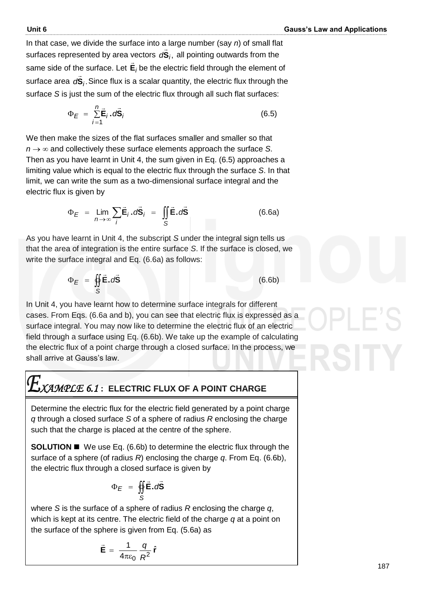In that case, we divide the surface into a large number (say *n*) of small flat surfaces represented by area vectors , *d***S***<sup>i</sup>*  $\frac{1}{2}$  all pointing outwards from the same side of the surface. Let **E***i*  $\rightarrow$ be the electric field through the element of surface area *d*S<sub>*i*</sub>.  $\overline{a}$ Since flux is a scalar quantity, the electric flux through the surface *S* is just the sum of the electric flux through all such flat surfaces:

$$
\Phi_E = \sum_{i=1}^n \vec{E}_i \cdot d\vec{S}_i \tag{6.5}
$$

We then make the sizes of the flat surfaces smaller and smaller so that  $n \rightarrow \infty$  and collectively these surface elements approach the surface *S*. Then as you have learnt in Unit 4, the sum given in Eq. (6.5) approaches a limiting value which is equal to the electric flux through the surface *S*. In that limit, we can write the sum as a two-dimensional surface integral and the electric flux is given by

$$
\Phi_E = \lim_{n \to \infty} \sum_i \vec{\mathbf{E}}_i \cdot d\vec{\mathbf{S}}_i = \iint_S \vec{\mathbf{E}} \cdot d\vec{\mathbf{S}} \tag{6.6a}
$$

As you have learnt in Unit 4, the subscript *S* under the integral sign tells us that the area of integration is the entire surface *S*. If the surface is closed, we write the surface integral and Eq. (6.6a) as follows:

$$
\Phi_E = \oint_S \vec{E} \cdot d\vec{S}
$$
 (6.6b)

In Unit 4, you have learnt how to determine surface integrals for different cases. From Eqs. (6.6a and b), you can see that electric flux is expressed as a surface integral. You may now like to determine the electric flux of an electric field through a surface using Eq. (6.6b). We take up the example of calculating the electric flux of a point charge through a closed surface. In the process, we shall arrive at Gauss's law.

$$
E_{\text{XAMPLE 6.1}: \text{ ELECTRIC FLUX OF A POINT CHARGE}}
$$

Determine the electric flux for the electric field generated by a point charge *q* through a closed surface *S* of a sphere of radius *R* enclosing the charge such that the charge is placed at the centre of the sphere.

**SOLUTION <b>I** We use Eq. (6.6b) to determine the electric flux through the surface of a sphere (of radius *R*) enclosing the charge *q*. From Eq. (6.6b), the electric flux through a closed surface is given by

$$
\Phi_E = \oint_S \vec{E} \cdot d\vec{S}
$$

where *S* is the surface of a sphere of radius *R* enclosing the charge *q*, which is kept at its centre. The electric field of the charge *q* at a point on the surface of the sphere is given from Eq. (5.6a) as

$$
\vec{\mathbf{E}} = \frac{1}{4\pi\varepsilon_0} \frac{q}{R^2} \hat{\mathbf{r}}
$$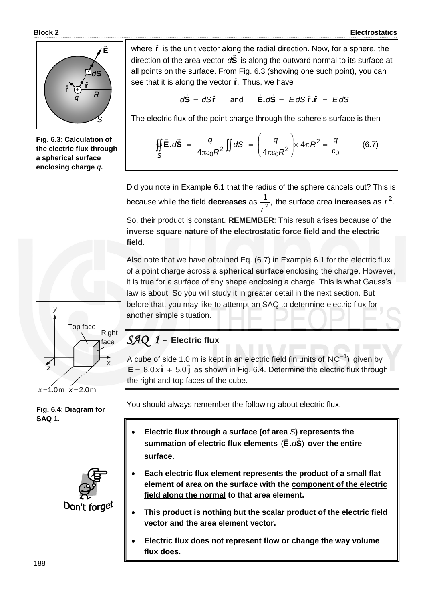

**Fig. 6.3**: **Calculation of the electric flux through a spherical surface enclosing charge** *q***.**



**Fig. 6.4**: **Diagram for SAQ 1.**



where  $\hat{\mathbf{r}}$  is the unit vector along the radial direction. Now, for a sphere, the direction of the area vector d**S** is along the outward normal to its surface at all points on the surface. From Fig. 6.3 (showing one such point), you can see that it is along the vector  $\hat{r}$ . Thus, we have

$$
d\vec{S} = dS\hat{r} \quad \text{and} \quad \vec{E} \cdot d\vec{S} = EdS\hat{r} \cdot \hat{r} = EdS
$$

The electric flux of the point charge through the sphere's surface is then

$$
\oint_{S} \vec{E} \cdot d\vec{S} = \frac{q}{4\pi \epsilon_0 R^2} \iint dS = \left(\frac{q}{4\pi \epsilon_0 R^2}\right) \times 4\pi R^2 = \frac{q}{\epsilon_0}
$$
(6.7)

Did you note in Example 6.1 that the radius of the sphere cancels out? This is because while the field **decreases** as  $\frac{1}{2}$ , 2 *r* the surface area **increases** as  $r^2$ .

So, their product is constant. **REMEMBER**: This result arises because of the **inverse square nature of the electrostatic force field and the electric field**.

Also note that we have obtained Eq. (6.7) in Example 6.1 for the electric flux of a point charge across a **spherical surface** enclosing the charge. However, it is true for a surface of any shape enclosing a charge. This is what Gauss's law is about. So you will study it in greater detail in the next section. But before that, you may like to attempt an SAQ to determine electric flux for another simple situation.

#### *SAQ 1 -* **Electric flux**

A cube of side 1.0 m is kept in an electric field (in units of  $NC^{-1}$ ) given by  $\vec{E} = 8.0 \times \hat{i} + 5.0 \hat{j}$  as shown in Fig. 6.4. Determine the electric flux through the right and top faces of the cube.

You should always remember the following about electric flux.

- **Electric flux through a surface (of area** *S***) represents the**  summation of electric flux elements (E.dS) over the entire **surface.**
- **Each electric flux element represents the product of a small flat element of area on the surface with the component of the electric field along the normal to that area element.**
- **This product is nothing but the scalar product of the electric field vector and the area element vector.**
- **Electric flux does not represent flow or change the way volume flux does.**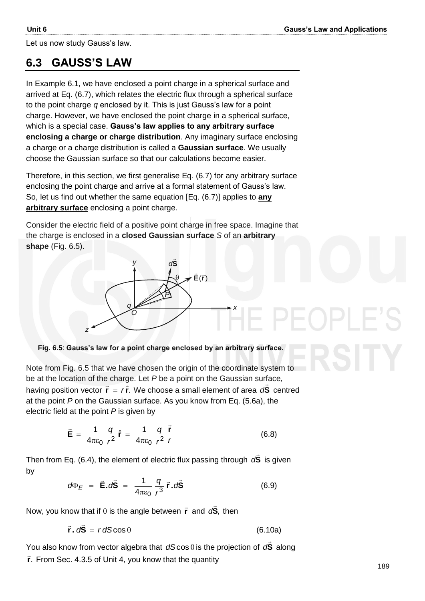Let us now study Gauss's law.

## **6.3 GAUSS'S LAW**

In Example 6.1, we have enclosed a point charge in a spherical surface and arrived at Eq. (6.7), which relates the electric flux through a spherical surface to the point charge *q* enclosed by it. This is just Gauss's law for a point charge. However, we have enclosed the point charge in a spherical surface, which is a special case. **Gauss's law applies to any arbitrary surface enclosing a charge or charge distribution**. Any imaginary surface enclosing a charge or a charge distribution is called a **Gaussian surface**. We usually choose the Gaussian surface so that our calculations become easier.

Therefore, in this section, we first generalise Eq. (6.7) for any arbitrary surface enclosing the point charge and arrive at a formal statement of Gauss's law. So, let us find out whether the same equation [Eq. (6.7)] applies to **any arbitrary surface** enclosing a point charge.

Consider the electric field of a positive point charge in free space. Imagine that the charge is enclosed in a **closed Gaussian surface** *S* of an **arbitrary shape** (Fig. 6.5).



**Fig. 6.5**: **Gauss's law for a point charge enclosed by an arbitrary surface.**

*x*

Note from Fig. 6.5 that we have chosen the origin of the coordinate system to be at the location of the charge. Let *P* be a point on the Gaussian surface,  $\frac{1}{2}$  are not consider the changer  $2\pi$ . We choose a small element of area  $\frac{1}{2}$  centred at the point *P* on the Gaussian surface. As you know from Eq. (5.6a), the electric field at the point *P* is given by

$$
\vec{\mathbf{E}} = \frac{1}{4\pi\epsilon_0} \frac{q}{r^2} \hat{\mathbf{r}} = \frac{1}{4\pi\epsilon_0} \frac{q}{r^2} \frac{\vec{\mathbf{r}}}{r}
$$
(6.8)

Then from Eq. (6.4), the element of electric flux passing through **S**  $\overline{a}$ d<sup>S</sup> is given by

$$
d\Phi_E = \vec{\mathbf{E}}.\vec{dS} = \frac{1}{4\pi\epsilon_0} \frac{q}{r^3} \vec{\mathbf{r}}.\vec{dS}
$$
 (6.9)

Now, you know that if  $\theta$  is the angle between  $\vec{r}$  and  $d\vec{S}$ ,  $\overline{z}$ d<sup>S</sup>, then

$$
\vec{r} \cdot d\vec{S} = r dS \cos \theta \tag{6.10a}
$$

You also know from vector algebra that  $dS\cos\theta$  is the projection of  $dS$  $\overline{a}$ d<sup>S</sup> along **r**. From Sec. 4.3.5 of Unit 4, you know that the quantity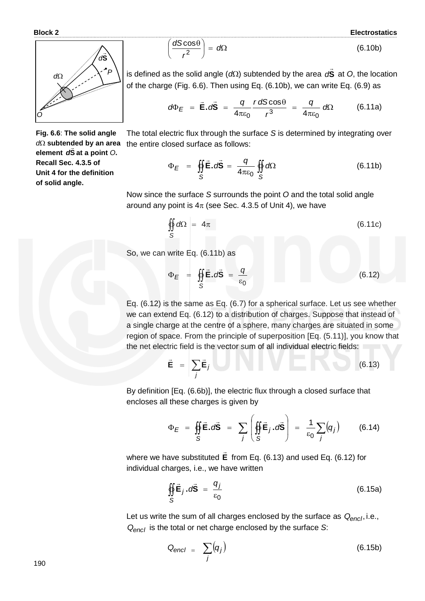**Block 2 Electrostatics**



**Fig. 6.6**: **The solid angle** *d*Ω subtended by an area **element S** *d* **at a point** *O***. Recall Sec. 4.3.5 of Unit 4 for the definition of solid angle.**

$$
\left(\frac{dS\cos\theta}{r^2}\right) = d\Omega\tag{6.10b}
$$

is defined as the solid angle ( $d\Omega$ ) subtended by the area  $d{\bf S}$  $\overline{a}$ d<sup>S</sup> at *O*, the location of the charge (Fig. 6.6). Then using Eq. (6.10b), we can write Eq. (6.9) as

$$
d\Phi_E = \vec{E} \cdot d\vec{S} = \frac{q}{4\pi\epsilon_0} \frac{r \, dS \cos\theta}{r^3} = \frac{q}{4\pi\epsilon_0} \, d\Omega \qquad (6.11a)
$$

The total electric flux through the surface *S* is determined by integrating over the entire closed surface as follows:

$$
\Phi_E = \oint_S \vec{E} \cdot d\vec{S} = \frac{q}{4\pi\epsilon_0} \oint_S d\Omega \tag{6.11b}
$$

Now since the surface *S* surrounds the point *O* and the total solid angle around any point is  $4\pi$  (see Sec. 4.3.5 of Unit 4), we have

$$
\oiint\limits_{S} d\Omega = 4\pi \tag{6.11c}
$$

So, we can write Eq. (6.11b) as

 $\overline{\phantom{0}}$ 

$$
\Phi_E = \oint_S \vec{E} \cdot d\vec{S} = \frac{q}{\epsilon_0} \tag{6.12}
$$

Eq. (6.12) is the same as Eq. (6.7) for a spherical surface. Let us see whether we can extend Eq. (6.12) to a distribution of charges. Suppose that instead of a single charge at the centre of a sphere, many charges are situated in some region of space. From the principle of superposition [Eq. (5.11)], you know that the net electric field is the vector sum of all individual electric fields:

$$
\vec{\mathbf{E}} = \sum_{j} \vec{\mathbf{E}}_{j} \quad (6.13)
$$

By definition [Eq. (6.6b)], the electric flux through a closed surface that encloses all these charges is given by

en closes all these charges is given by  
\n
$$
\Phi_E = \oint_S \vec{E} \cdot d\vec{S} = \sum_j \left( \oint_S \vec{E}_j \cdot d\vec{S} \right) = \frac{1}{\epsilon_0} \sum_j (q_j)
$$
\n(6.14)

where we have substituted **E**  $\rightarrow$ from Eq. (6.13) and used Eq. (6.12) for individual charges, i.e., we have written

$$
\oint_{S} \vec{E}_j \cdot d\vec{S} = \frac{q_j}{\epsilon_0}
$$
 (6.15a)

Let us write the sum of all charges enclosed by the surface as  $Q_{encl}$ , i.e., *Qencl* is the total or net charge enclosed by the surface *S*:

$$
Q_{encl} = \sum_{j} (q_j) \tag{6.15b}
$$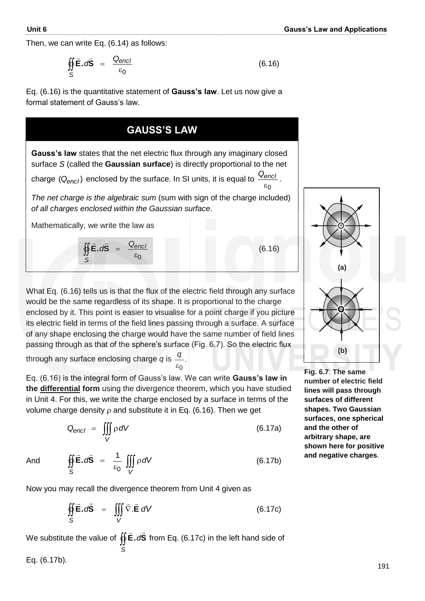0

(6.16)

Then, we can write Eq. (6.14) as follows:

$$
\oint_{S} \vec{E} \cdot d\vec{S} = \frac{Q_{encl}}{\varepsilon_0} \tag{6.16}
$$

Eq. (6.16) is the quantitative statement of **Gauss's law**. Let us now give a formal statement of Gauss's law.

#### **GAUSS'S LAW**

**Gauss's law** states that the net electric flux through any imaginary closed surface *S* (called the **Gaussian surface**) is directly proportional to the net

charge  $\left(Q_{encl}\right)$  enclosed by the surface. In SI units, it is equal to  $\epsilon$ *Qencl* .

*The net charge is the algebraic sum* (sum with sign of the charge included) *of all charges enclosed within the Gaussian surface*.

Mathematically, we write the law as

0  $\epsilon$  $=$  $\oint \vec{E} \cdot d\vec{S} = \frac{Q_{\text{encl}}}{\epsilon_0}$ *S Q*  $E.dS$  $\frac{1}{2}$   $\frac{1}{2}$ 

What Eq. (6.16) tells us is that the flux of the electric field through any surface would be the same regardless of its shape. It is proportional to the charge enclosed by it. This point is easier to visualise for a point charge if you picture its electric field in terms of the field lines passing through a surface. A surface of any shape enclosing the charge would have the same number of field lines passing through as that of the sphere's surface (Fig. 6.7). So the electric flux

through any surface enclosing charge  $q$  is  $\frac{q}{r}$ . 0  $\epsilon$ *q*

Eq. (6.16) is the integral form of Gauss's law. We can write **Gauss's law in the differential form** using the divergence theorem, which you have studied in Unit 4. For this, we write the charge enclosed by a surface in terms of the volume charge density  $\rho$  and substitute it in Eq. (6.16). Then we get

$$
Q_{encl} = \iiint\limits_V \rho \, dV \tag{6.17a}
$$

And

$$
\oint_{S} \vec{E} \cdot d\vec{S} = \frac{1}{\epsilon_0} \iiint_{V} \rho \, dV \tag{6.17b}
$$

Now you may recall the divergence theorem from Unit 4 given as

$$
\oint_{S} \vec{E} \cdot d\vec{S} = \iiint_{V} \vec{\nabla} \cdot \vec{E} \, dV
$$
\n(6.17c)

We substitute the value of  $\oint \vec{\mathsf{E}}.\mathsf{d}\vec{\mathsf{S}}$ *S*  $\frac{1}{2}$ from Eq. (6.17c) in the left hand side of

Eq. (6.17b).



**Fig. 6.7**: **The same number of electric field lines will pass through surfaces of different shapes. Two Gaussian surfaces, one spherical and the other of arbitrary shape, are shown here for positive and negative charges**.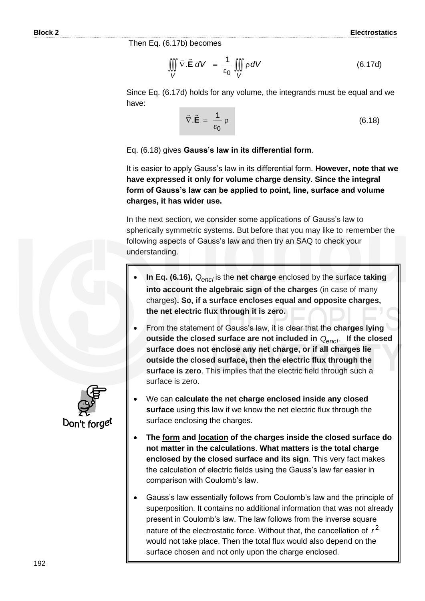Then Eq. (6.17b) becomes

$$
\iiint\limits_V \vec{\nabla} \cdot \vec{\mathbf{E}} \ dV = \frac{1}{\varepsilon_0} \iiint\limits_V \rho \ dV \tag{6.17d}
$$

Since Eq. (6.17d) holds for any volume, the integrands must be equal and we have:

$$
\vec{\nabla}.\vec{\mathbf{E}} = \frac{1}{\varepsilon_0} \rho \tag{6.18}
$$

Eq. (6.18) gives **Gauss's law in its differential form**.

It is easier to apply Gauss's law in its differential form. **However, note that we have expressed it only for volume charge density. Since the integral form of Gauss's law can be applied to point, line, surface and volume charges, it has wider use.** 

In the next section, we consider some applications of Gauss's law to spherically symmetric systems. But before that you may like to remember the following aspects of Gauss's law and then try an SAQ to check your understanding.

- **In Eq. (6.16),**  *Qencl* is the **net charge** enclosed by the surface **taking into account the algebraic sign of the charges** (in case of many charges)**. So, if a surface encloses equal and opposite charges, the net electric flux through it is zero.**
- From the statement of Gauss's law, it is clear that the **charges lying outside the closed surface are not included in** . *Qencl* **If the closed surface does not enclose any net charge, or if all charges lie outside the closed surface, then the electric flux through the surface is zero**. This implies that the electric field through such a surface is zero.
- We can **calculate the net charge enclosed inside any closed surface** using this law if we know the net electric flux through the surface enclosing the charges.
- **The form and location of the charges inside the closed surface do not matter in the calculations**. **What matters is the total charge enclosed by the closed surface and its sign**. This very fact makes the calculation of electric fields using the Gauss's law far easier in comparison with Coulomb's law.
- Gauss's law essentially follows from Coulomb's law and the principle of superposition. It contains no additional information that was not already present in Coulomb's law. The law follows from the inverse square nature of the electrostatic force. Without that, the cancellation of  $r^2$ would not take place. Then the total flux would also depend on the surface chosen and not only upon the charge enclosed.

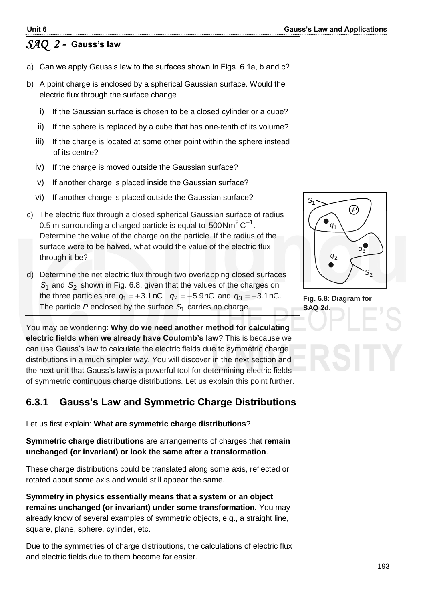## *SAQ 2 -* **Gauss's law**

- a) Can we apply Gauss's law to the surfaces shown in Figs. 6.1a, b and c?
- b) A point charge is enclosed by a spherical Gaussian surface. Would the electric flux through the surface change
	- i) If the Gaussian surface is chosen to be a closed cylinder or a cube?
	- ii) If the sphere is replaced by a cube that has one-tenth of its volume?
	- iii) If the charge is located at some other point within the sphere instead of its centre?
	- iv) If the charge is moved outside the Gaussian surface?
	- v) If another charge is placed inside the Gaussian surface?
	- vi) If another charge is placed outside the Gaussian surface?
- c) The electric flux through a closed spherical Gaussian surface of radius 0.5 m surrounding a charged particle is equal to 500Nm<sup>2</sup> C<sup>-1</sup>. Determine the value of the charge on the particle. If the radius of the surface were to be halved, what would the value of the electric flux through it be?
- d) Determine the net electric flux through two overlapping closed surfaces S<sub>1</sub> and S<sub>2</sub> shown in Fig. 6.8, given that the values of the charges on the three particles are  $q_1 = +3.1$  nC,  $q_2 = +5.9$ nC and  $q_3 = -3.1$ nC. The particle *P* enclosed by the surface *S*1 carries no charge.

You may be wondering: **Why do we need another method for calculating electric fields when we already have Coulomb's law**? This is because we can use Gauss's law to calculate the electric fields due to symmetric charge distributions in a much simpler way. You will discover in the next section and the next unit that Gauss's law is a powerful tool for determining electric fields of symmetric continuous charge distributions. Let us explain this point further.

## **6.3.1 Gauss's Law and Symmetric Charge Distributions**

Let us first explain: **What are symmetric charge distributions**?

**Symmetric charge distributions** are arrangements of charges that **remain unchanged (or invariant) or look the same after a transformation**.

These charge distributions could be translated along some axis, reflected or rotated about some axis and would still appear the same.

**Symmetry in physics essentially means that a system or an object remains unchanged (or invariant) under some transformation.** You may already know of several examples of symmetric objects, e.g., a straight line, square, plane, sphere, cylinder, etc.

Due to the symmetries of charge distributions, the calculations of electric flux and electric fields due to them become far easier.



**Fig. 6.8**: **Diagram for SAQ 2d.**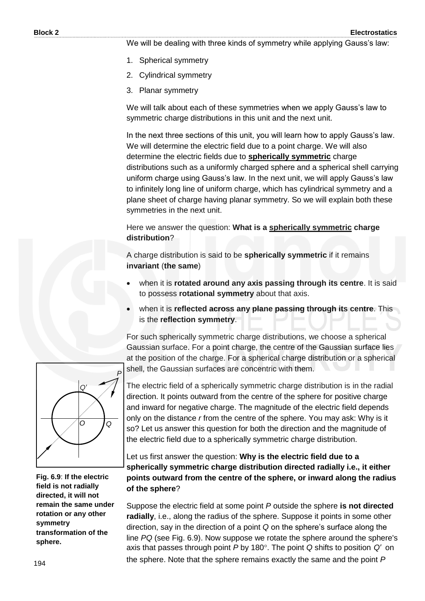We will be dealing with three kinds of symmetry while applying Gauss's law:

- 1. Spherical symmetry
- 2. Cylindrical symmetry
- 3. Planar symmetry

We will talk about each of these symmetries when we apply Gauss's law to symmetric charge distributions in this unit and the next unit.

In the next three sections of this unit, you will learn how to apply Gauss's law. We will determine the electric field due to a point charge. We will also determine the electric fields due to **spherically symmetric** charge distributions such as a uniformly charged sphere and a spherical shell carrying uniform charge using Gauss's law. In the next unit, we will apply Gauss's law to infinitely long line of uniform charge, which has cylindrical symmetry and a plane sheet of charge having planar symmetry. So we will explain both these symmetries in the next unit.

Here we answer the question: **What is a spherically symmetric charge distribution**?

A charge distribution is said to be **spherically symmetric** if it remains **invariant** (**the same**)

- when it is **rotated around any axis passing through its centre**. It is said to possess **rotational symmetry** about that axis.
- when it is **reflected across any plane passing through its centre**. This is the **reflection symmetry**.

For such spherically symmetric charge distributions, we choose a spherical Gaussian surface. For a point charge, the centre of the Gaussian surface lies at the position of the charge. For a spherical charge distribution or a spherical shell, the Gaussian surfaces are concentric with them.



**Fig. 6.9**: **If the electric field is not radially directed, it will not remain the same under rotation or any other symmetry transformation of the sphere.** 

The electric field of a spherically symmetric charge distribution is in the radial direction. It points outward from the centre of the sphere for positive charge and inward for negative charge. The magnitude of the electric field depends only on the distance *r* from the centre of the sphere. You may ask: Why is it so? Let us answer this question for both the direction and the magnitude of the electric field due to a spherically symmetric charge distribution.

Let us first answer the question: **Why is the electric field due to a spherically symmetric charge distribution directed radially i.e., it either points outward from the centre of the sphere, or inward along the radius of the sphere**?

Suppose the electric field at some point *P* outside the sphere **is not directed radially**, i.e., along the radius of the sphere. Suppose it points in some other direction, say in the direction of a point *Q* on the sphere's surface along the line *PQ* (see Fig. 6.9). Now suppose we rotate the sphere around the sphere's axis that passes through point P by 180°. The point Q shifts to position Q' on the sphere. Note that the sphere remains exactly the same and the point *P*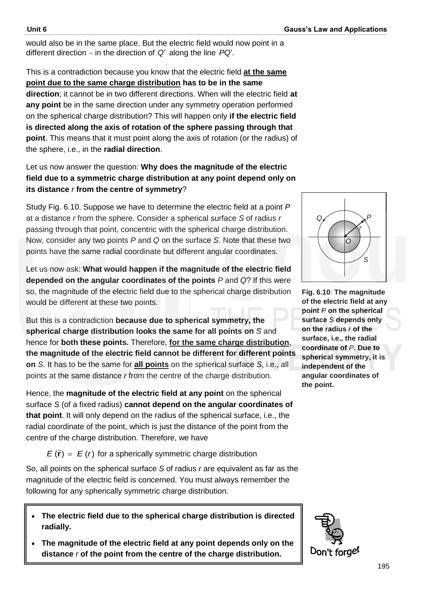would also be in the same place. But the electric field would now point in a different direction – in the direction of Q' along the line PQ'.

This is a contradiction because you know that the electric field **at the same point due to the same charge distribution has to be in the same direction**; it cannot be in two different directions. When will the electric field **at any point** be in the same direction under any symmetry operation performed on the spherical charge distribution? This will happen only **if the electric field is directed along the axis of rotation of the sphere passing through that point**. This means that it must point along the axis of rotation (or the radius) of the sphere, i.e., in the **radial direction**.

#### Let us now answer the question: **Why does the magnitude of the electric field due to a symmetric charge distribution at any point depend only on its distance** *r* **from the centre of symmetry**?

Study Fig. 6.10. Suppose we have to determine the electric field at a point *P* at a distance *r* from the sphere. Consider a spherical surface *S* of radius *r* passing through that point, concentric with the spherical charge distribution. Now, consider any two points *P* and *Q* on the surface *S*. Note that these two points have the same radial coordinate but different angular coordinates.

Let us now ask: **What would happen if the magnitude of the electric field depended on the angular coordinates of the points** *P* and *Q*? If this were so, the magnitude of the electric field due to the spherical charge distribution would be different at these two points.

But this is a contradiction **because due to spherical symmetry, the spherical charge distribution looks the same for all points on** *S* and hence for **both these points.** Therefore, **for the same charge distribution**, **the magnitude of the electric field cannot be different for different points on** *S*. It has to be the same for **all points** on the spherical surface *S*, i.e., all points at the same distance *r* from the centre of the charge distribution.

Hence, the **magnitude of the electric field at any point** on the spherical surface *S* (of a fixed radius) **cannot depend on the angular coordinates of that point**. It will only depend on the radius of the spherical surface, i.e., the radial coordinate of the point, which is just the distance of the point from the centre of the charge distribution. Therefore, we have

 $E(\vec{r}) = E(r)$  for a spherically symmetric charge distribution

So, all points on the spherical surface *S* of radius *r* are equivalent as far as the magnitude of the electric field is concerned. You must always remember the following for any spherically symmetric charge distribution.

- **The electric field due to the spherical charge distribution is directed radially.**
- **The magnitude of the electric field at any point depends only on the distance** *r* **of the point from the centre of the charge distribution.**





**Fig. 6.10**: **The magnitude of the electric field at any point** *P* **on the spherical surface** *S* **depends only on the radius** *r* **of the surface, i.e., the radial coordinate of** *P***. Due to spherical symmetry, it is independent of the angular coordinates of the point.**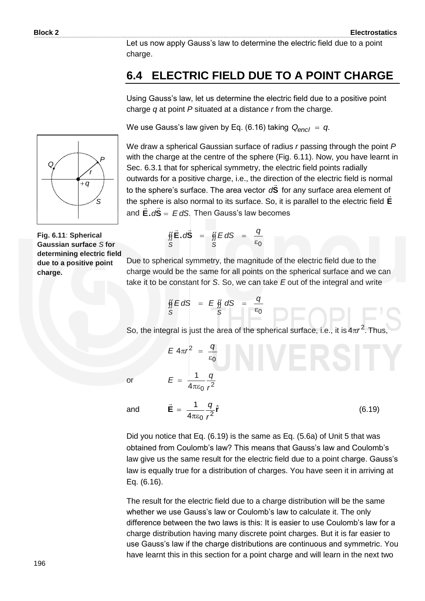Let us now apply Gauss's law to determine the electric field due to a point charge.

### **6.4 ELECTRIC FIELD DUE TO A POINT CHARGE**

Using Gauss's law, let us determine the electric field due to a positive point charge *q* at point *P* situated at a distance *r* from the charge.

We use Gauss's law given by Eq. (6.16) taking *Q<sub>encl</sub>* = *q*.



We draw a spherical Gaussian surface of radius *r* passing through the point *P* with the charge at the centre of the sphere (Fig. 6.11). Now, you have learnt in Sec. 6.3.1 that for spherical symmetry, the electric field points radially outwards for a positive charge, i.e., the direction of the electric field is normal to the sphere's surface. The area vector d**S** for any surface area element of the sphere is also normal to its surface. So, it is parallel to the electric field **E** and **E.***d***S** = E*dS*. Then Gauss's law becomes

**Fig. 6.11**: **Spherical Gaussian surface** *S* **for determining electric field due to a positive point charge.** 

$$
\oint_{S} \vec{E} \cdot d\vec{S} = \oint_{S} E dS = \frac{q}{\epsilon_0}
$$

Due to spherical symmetry, the magnitude of the electric field due to the charge would be the same for all points on the spherical surface and we can take it to be constant for *S*. So, we can take *E* out of the integral and write

$$
\oint_S EdS = E \oint_S dS = \frac{q}{\varepsilon_0}
$$

0

 $\epsilon$ 

 $4\pi r^2$ 

 $\rightarrow$ 

 $E 4\pi r^2 = \frac{q}{r}$ 

 $E = \frac{11}{4}$  $\pi\varepsilon$  $=\frac{1}{4} - \frac{9}{2}$ 

 $4\pi\varepsilon_0$   $r^2$ 1

*r*

So, the integral is just the area of the spherical surface, i.e., it is  $4\pi r^2$ . Thus,

or

and

$$
=\frac{1}{4\pi\varepsilon_0}\frac{q}{r^2}\hat{\mathbf{r}}\tag{6.19}
$$

Did you notice that Eq. (6.19) is the same as Eq. (5.6a) of Unit 5 that was obtained from Coulomb's law? This means that Gauss's law and Coulomb's law give us the same result for the electric field due to a point charge. Gauss's law is equally true for a distribution of charges. You have seen it in arriving at Eq. (6.16).

The result for the electric field due to a charge distribution will be the same whether we use Gauss's law or Coulomb's law to calculate it. The only difference between the two laws is this: It is easier to use Coulomb's law for a charge distribution having many discrete point charges. But it is far easier to use Gauss's law if the charge distributions are continuous and symmetric. You have learnt this in this section for a point charge and will learn in the next two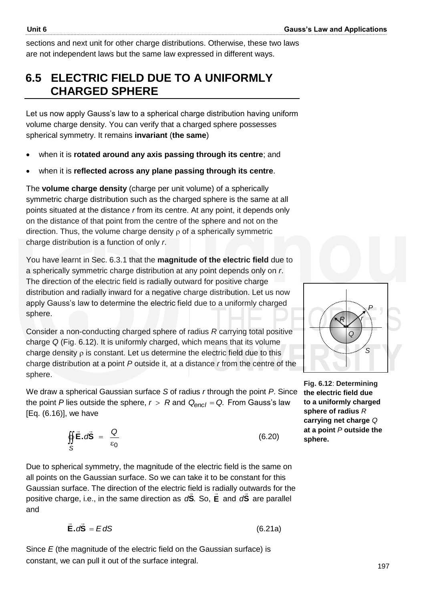sections and next unit for other charge distributions. Otherwise, these two laws are not independent laws but the same law expressed in different ways.

## **6.5 ELECTRIC FIELD DUE TO A UNIFORMLY CHARGED SPHERE**

Let us now apply Gauss's law to a spherical charge distribution having uniform volume charge density. You can verify that a charged sphere possesses spherical symmetry. It remains **invariant** (**the same**)

- when it is **rotated around any axis passing through its centre**; and
- when it is **reflected across any plane passing through its centre**.

The **volume charge density** (charge per unit volume) of a spherically symmetric charge distribution such as the charged sphere is the same at all points situated at the distance *r* from its centre. At any point, it depends only on the distance of that point from the centre of the sphere and not on the direction. Thus, the volume charge density  $\rho$  of a spherically symmetric charge distribution is a function of only *r*.

You have learnt in Sec. 6.3.1 that the **magnitude of the electric field** due to a spherically symmetric charge distribution at any point depends only on *r*. The direction of the electric field is radially outward for positive charge distribution and radially inward for a negative charge distribution. Let us now apply Gauss's law to determine the electric field due to a uniformly charged sphere.

Consider a non-conducting charged sphere of radius *R* carrying total positive charge *Q* (Fig. 6.12). It is uniformly charged, which means that its volume charge density  $\rho$  is constant. Let us determine the electric field due to this charge distribution at a point *P* outside it, at a distance *r* from the centre of the sphere.

We draw a spherical Gaussian surface *S* of radius *r* through the point *P*. Since the point *P* lies outside the sphere,  $r > R$  and  $Q_{encl} = Q$ . From Gauss's law [Eq. (6.16)], we have

$$
\oint_{S} \vec{E} \cdot d\vec{S} = \frac{Q}{\varepsilon_0} \tag{6.20}
$$

Due to spherical symmetry, the magnitude of the electric field is the same on all points on the Gaussian surface. So we can take it to be constant for this Gaussian surface. The direction of the electric field is radially outwards for the positive charge, i.e., in the same direction as  $dS$ . So, E and  $dS$  are parallel and

$$
\vec{E} \cdot d\vec{S} = EdS \tag{6.21a}
$$

Since *E* (the magnitude of the electric field on the Gaussian surface) is constant, we can pull it out of the surface integral.



**Fig. 6.12**: **Determining the electric field due to a uniformly charged sphere of radius** *R* **carrying net charge** *Q* **at a point** *P* **outside the sphere.**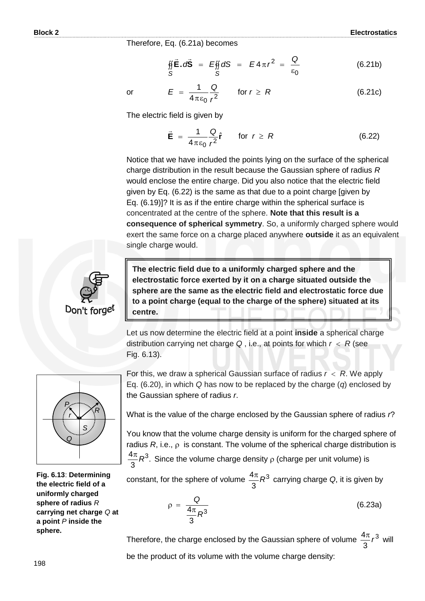Therefore, Eq. (6.21a) becomes

$$
\iint\limits_{S} \vec{E} \cdot d\vec{S} = E \iint\limits_{S} dS = E 4 \pi r^2 = \frac{Q}{\epsilon_0}
$$
 (6.21b)

or

 $4\pi\epsilon_0$   $r^2$ 1 *r*  $E = \frac{1}{4}$  $\pi\varepsilon$  $= \frac{1}{4} - \frac{8}{3}$  for  $r \ge R$  (6.21c)

The electric field is given by

$$
\vec{\mathbf{E}} = \frac{1}{4\pi\epsilon_0} \frac{Q}{r^2} \hat{\mathbf{r}} \quad \text{for } r \ge R \tag{6.22}
$$

Notice that we have included the points lying on the surface of the spherical charge distribution in the result because the Gaussian sphere of radius *R* would enclose the entire charge. Did you also notice that the electric field given by Eq. (6.22) is the same as that due to a point charge [given by Eq. (6.19)]? It is as if the entire charge within the spherical surface is concentrated at the centre of the sphere. **Note that this result is a consequence of spherical symmetry**. So, a uniformly charged sphere would exert the same force on a charge placed anywhere **outside** it as an equivalent single charge would.



**The electric field due to a uniformly charged sphere and the electrostatic force exerted by it on a charge situated outside the sphere are the same as the electric field and electrostatic force due to a point charge (equal to the charge of the sphere) situated at its centre.** 

Let us now determine the electric field at a point **inside** a spherical charge distribution carrying net charge  $Q$ , i.e., at points for which  $r < R$  (see Fig. 6.13).



**Fig. 6.13**: **Determining the electric field of a uniformly charged sphere of radius** *R* **carrying net charge** *Q* **at a point** *P* **inside the sphere.** 

For this, we draw a spherical Gaussian surface of radius  $r < R$ . We apply Eq. (6.20), in which *Q* has now to be replaced by the charge (*q*) enclosed by the Gaussian sphere of radius *r*.

What is the value of the charge enclosed by the Gaussian sphere of radius *r*?

You know that the volume charge density is uniform for the charged sphere of radius  $R$ , i.e.,  $\rho$  is constant. The volume of the spherical charge distribution is . 3  $\frac{4\pi}{6}R^3$ . Since the volume charge density  $\rho$  (charge per unit volume) is

constant, for the sphere of volume  $\frac{4\pi}{3}R^3$ 3  $\frac{4\pi}{6}R^3$  carrying charge Q, it is given by

$$
\rho = \frac{Q}{\frac{4\pi}{3}R^3} \tag{6.23a}
$$

Therefore, the charge enclosed by the Gaussian sphere of volume  $\frac{4\pi}{6}r^3$ 3  $\frac{4\pi}{2}r^3$  will be the product of its volume with the volume charge density: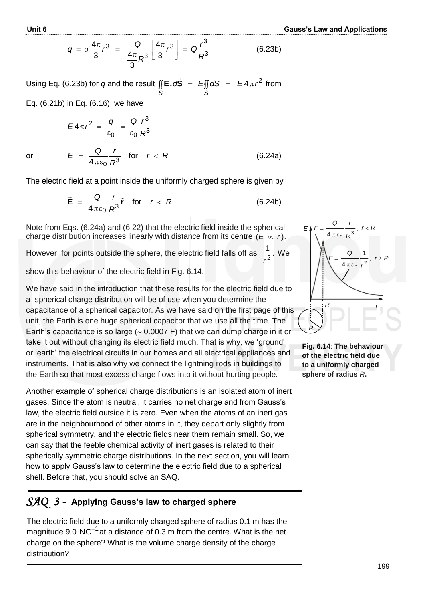$$
q = \rho \frac{4\pi}{3} r^3 = \frac{Q}{\frac{4\pi}{3} R^3} \left[ \frac{4\pi}{3} r^3 \right] = Q \frac{r^3}{R^3}
$$
 (6.23b)

Using Eq. (6.23b) for  $q$  and the result  $\oint \vec{E} \cdot d\vec{S} = E \oint dS = E 4 \pi r^2$ *S S*  $\overline{z}$   $\overline{z}$ from

Eq. (6.21b) in Eq. (6.16), we have

$$
E4\pi r^2 = \frac{q}{\varepsilon_0} = \frac{Q}{\varepsilon_0} \frac{r^3}{R^3}
$$

or

$$
E = \frac{Q}{4\pi\epsilon_0} \frac{r}{R^3} \quad \text{for} \quad r < R \tag{6.24a}
$$

The electric field at a point inside the uniformly charged sphere is given by

$$
\vec{\mathbf{E}} = \frac{Q}{4\pi\epsilon_0} \frac{r}{R^3} \hat{\mathbf{r}} \quad \text{for} \quad r < R \tag{6.24b}
$$

Note from Eqs. (6.24a) and (6.22) that the electric field inside the spherical charge distribution increases linearly with distance from its centre  $(E \propto r)$ .

However, for points outside the sphere, the electric field falls off as  $\frac{1}{2}$ . 2 *r* We

show this behaviour of the electric field in Fig. 6.14.

We have said in the introduction that these results for the electric field due to a spherical charge distribution will be of use when you determine the capacitance of a spherical capacitor. As we have said on the first page of this unit, the Earth is one huge spherical capacitor that we use all the time. The Earth's capacitance is so large ( $\sim$  0.0007 F) that we can dump charge in it or take it out without changing its electric field much. That is why, we 'ground' or 'earth' the electrical circuits in our homes and all electrical appliances and instruments. That is also why we connect the lightning rods in buildings to the Earth so that most excess charge flows into it without hurting people.

Another example of spherical charge distributions is an isolated atom of inert gases. Since the atom is neutral, it carries no net charge and from Gauss's law, the electric field outside it is zero. Even when the atoms of an inert gas are in the neighbourhood of other atoms in it, they depart only slightly from spherical symmetry, and the electric fields near them remain small. So, we can say that the feeble chemical activity of inert gases is related to their spherically symmetric charge distributions. In the next section, you will learn how to apply Gauss's law to determine the electric field due to a spherical shell. Before that, you should solve an SAQ.

## *SAQ 3 -* **Applying Gauss's law to charged sphere**

The electric field due to a uniformly charged sphere of radius 0.1 m has the magnitude 9.0 NC<sup>-1</sup> at a distance of 0.3 m from the centre. What is the net charge on the sphere? What is the volume charge density of the charge distribution?



**Fig. 6.14**: **The behaviour of the electric field due to a uniformly charged sphere of radius** *R***.**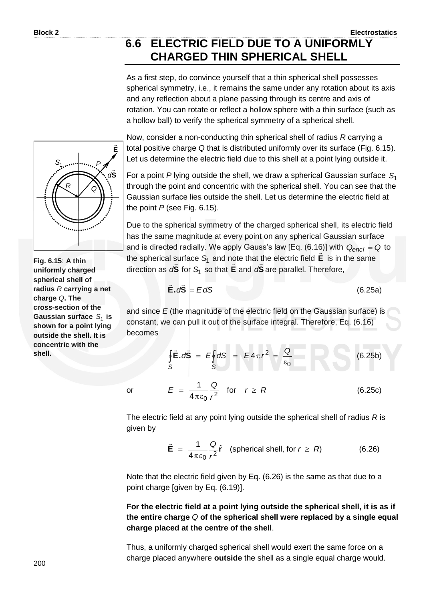## **6.6 ELECTRIC FIELD DUE TO A UNIFORMLY CHARGED THIN SPHERICAL SHELL**

As a first step, do convince yourself that a thin spherical shell possesses spherical symmetry, i.e., it remains the same under any rotation about its axis and any reflection about a plane passing through its centre and axis of rotation. You can rotate or reflect a hollow sphere with a thin surface (such as a hollow ball) to verify the spherical symmetry of a spherical shell.

Now, consider a non-conducting thin spherical shell of radius *R* carrying a total positive charge *Q* that is distributed uniformly over its surface (Fig. 6.15). Let us determine the electric field due to this shell at a point lying outside it.

For a point *P* lying outside the shell, we draw a spherical Gaussian surface *S*1 through the point and concentric with the spherical shell. You can see that the Gaussian surface lies outside the shell. Let us determine the electric field at the point *P* (see Fig. 6.15).

Due to the spherical symmetry of the charged spherical shell, its electric field has the same magnitude at every point on any spherical Gaussian surface and is directed radially. We apply Gauss's law [Eq. (6.16)] with  $Q_{encl} = Q$  to the spherical surface *S*1 and note that the electric field **E** is in the same direction as  $dS$  for  $S<sub>1</sub>$  so that **E** and  $dS$  are parallel. Therefore,

$$
\vec{E} \cdot d\vec{S} = EdS \tag{6.25a}
$$

and since *E* (the magnitude of the electric field on the Gaussian surface) is constant, we can pull it out of the surface integral. Therefore, Eq. (6.16) becomes

$$
\oint_{S} \vec{E} \cdot d\vec{S} = E \oint_{S} dS = E 4 \pi r^{2} = \frac{Q}{\epsilon_{0}}
$$
(6.25b)  

$$
E = \frac{1}{4 \pi \epsilon_{0}} \frac{Q}{r^{2}} \quad \text{for} \quad r \ge R
$$
(6.25c)

The electric field at any point lying outside the spherical shell of radius *R* is given by

$$
\vec{E} = \frac{1}{4\pi\epsilon_0} \frac{Q}{r^2} \hat{r}
$$
 (spherical shell, for  $r \ge R$ ) (6.26)

Note that the electric field given by Eq. (6.26) is the same as that due to a point charge [given by Eq. (6.19)].

**For the electric field at a point lying outside the spherical shell, it is as if the entire charge** *Q* **of the spherical shell were replaced by a single equal charge placed at the centre of the shell**.

Thus, a uniformly charged spherical shell would exert the same force on a charge placed anywhere **outside** the shell as a single equal charge would.



**Fig. 6.15**: **A thin uniformly charged spherical shell of radius** *R* **carrying a net charge** *Q***. The cross-section of the Gaussian surface**  *S*1 **is shown for a point lying outside the shell. It is concentric with the shell.**

or

200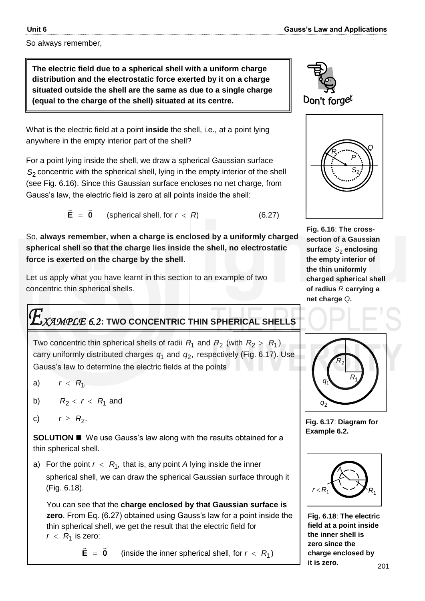So always remember,

**The electric field due to a spherical shell with a uniform charge distribution and the electrostatic force exerted by it on a charge situated outside the shell are the same as due to a single charge (equal to the charge of the shell) situated at its centre.** 

What is the electric field at a point **inside** the shell, i.e., at a point lying anywhere in the empty interior part of the shell?

For a point lying inside the shell, we draw a spherical Gaussian surface *S*2 concentric with the spherical shell, lying in the empty interior of the shell (see Fig. 6.16). Since this Gaussian surface encloses no net charge, from Gauss's law, the electric field is zero at all points inside the shell:

 $E = 0$  $\pm$   $\pm$  $=$ (spherical shell, for  $r < R$ ) (6.27)

So, **always remember, when a charge is enclosed by a uniformly charged spherical shell so that the charge lies inside the shell, no electrostatic force is exerted on the charge by the shell**.

Let us apply what you have learnt in this section to an example of two concentric thin spherical shells.

# *XAMPLE 6.2* **: TWO CONCENTRIC THIN SPHERICAL SHELLS**

Two concentric thin spherical shells of radii  $R_1$  and  $R_2$  (with  $R_2 > R_1$ ) carry uniformly distributed charges  $q_1$  and  $q_2$ , respectively (Fig. 6.17). Use Gauss's law to determine the electric fields at the points

a)  $r < R_1$ ,

ľ

- b)  $R_2 < r < R_1$  and
- c)  $r \ge R_2$ .

**SOLUTION ■** We use Gauss's law along with the results obtained for a thin spherical shell.

a) For the point  $r < R_1$ , that is, any point A lying inside the inner spherical shell, we can draw the spherical Gaussian surface through it (Fig. 6.18).

You can see that the **charge enclosed by that Gaussian surface is zero**. From Eq. (6.27) obtained using Gauss's law for a point inside the thin spherical shell, we get the result that the electric field for  $r < R_1$  is zero:

 $E = 0$  $\rightarrow$  $= 0$  (inside the inner spherical shell, for  $r < R_1$ )





**Fig. 6.16**: **The crosssection of a Gaussian**  surface S<sub>2</sub> enclosing **the empty interior of the thin uniformly charged spherical shell of radius** *R* **carrying a net charge** *Q***.**



**Fig. 6.17**: **Diagram for Example 6.2.**



**Fig. 6.18**: **The electric field at a point inside the inner shell is zero since the charge enclosed by it is zero.**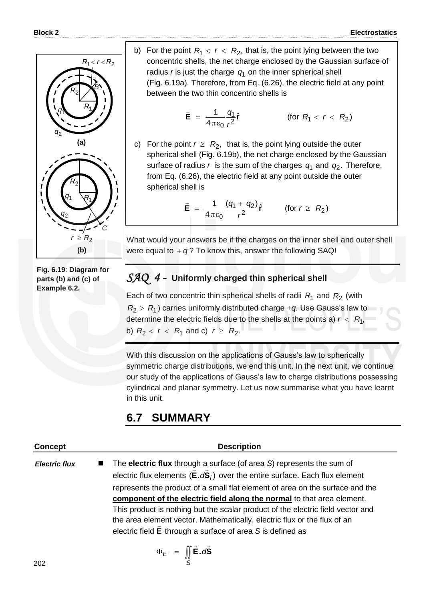

**Fig. 6.19**: **Diagram for parts (b) and (c) of Example 6.2.**

b) For the point  $R_1 < r < R_2$ , that is, the point lying between the two concentric shells, the net charge enclosed by the Gaussian surface of radius *r* is just the charge  $q_1$  on the inner spherical shell (Fig. 6.19a). Therefore, from Eq. (6.26), the electric field at any point between the two thin concentric shells is

$$
\vec{\mathbf{E}} = \frac{1}{4\pi\epsilon_0} \frac{q_1}{r^2} \hat{\mathbf{r}}
$$
 (for  $R_1 < r < R_2$ )

c) For the point  $r \geq R_2$ , that is, the point lying outside the outer spherical shell (Fig. 6.19b), the net charge enclosed by the Gaussian surface of radius  $r$  is the sum of the charges  $q_1$  and  $q_2$ . Therefore, from Eq. (6.26), the electric field at any point outside the outer spherical shell is

$$
\vec{\mathbf{E}} = \frac{1}{4\pi\epsilon_0} \frac{(q_1 + q_2)}{r^2} \hat{\mathbf{r}} \quad \text{(for } r \geq R_2\text{)}
$$

What would your answers be if the charges on the inner shell and outer shell were equal to  $+q$ ? To know this, answer the following SAQ!

#### *SAQ 4 -* **Uniformly charged thin spherical shell**

Each of two concentric thin spherical shells of radii  $R_1$  and  $R_2$  (with  $R_2 > R_1$ ) carries uniformly distributed charge  $+q$ . Use Gauss's law to determine the electric fields due to the shells at the points a)  $r < R_1$ , b)  $R_2 < r < R_1$  and c)  $r \ge R_2$ .

With this discussion on the applications of Gauss's law to spherically symmetric charge distributions, we end this unit. In the next unit, we continue our study of the applications of Gauss's law to charge distributions possessing cylindrical and planar symmetry. Let us now summarise what you have learnt in this unit.

## **6.7 SUMMARY**

| <b>Concept</b>       | <b>Description</b>                                                                                                                                                                                                        |
|----------------------|---------------------------------------------------------------------------------------------------------------------------------------------------------------------------------------------------------------------------|
| <b>Electric flux</b> | $\blacksquare$ The electric flux through a surface (of area S) represents the sum of<br>electric flux elements $(\vec{E} \cdot d\vec{S}_i)$ over the entire surface. Each flux element                                    |
|                      | represents the product of a small flat element of area on the surface and the<br>component of the electric field along the normal to that area element.                                                                   |
|                      | This product is nothing but the scalar product of the electric field vector and<br>the area element vector. Mathematically, electric flux or the flux of an<br>electric field E through a surface of area S is defined as |
|                      |                                                                                                                                                                                                                           |

$$
\Phi_E = \iint\limits_{S} \vec{E} \cdot d\vec{S}
$$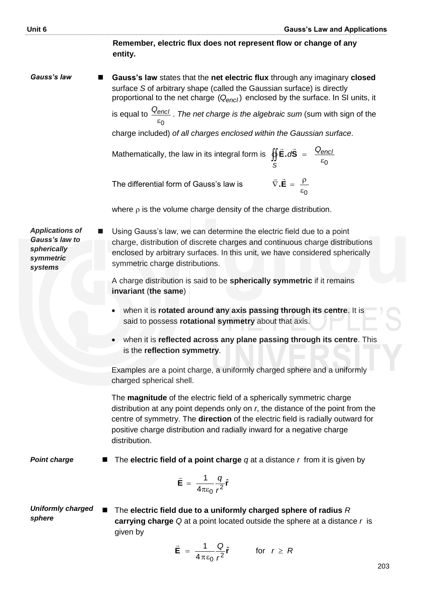**Remember, electric flux does not represent flow or change of any entity.** *Gauss's law*  **Gauss's law** states that the **net electric flux** through any imaginary **closed** surface *S* of arbitrary shape (called the Gaussian surface) is directly proportional to the net charge  $(Q_{encl})$  enclosed by the surface. In SI units, it is equal to 0  $\epsilon$ *Qencl* . *The net charge is the algebraic sum* (sum with sign of the charge included) *of all charges enclosed within the Gaussian surface*. Mathematically, the law in its integral form is  $\varepsilon_0$  $\oint \vec{E} \cdot d\vec{S} = \frac{Q_{enc}}{\epsilon_0}$ *S*  $\vec{E} \cdot d\vec{S} = \frac{Q}{A}$  $\pm$   $\pm$ The differential form of Gauss's law is  $\varepsilon_0$  $\vec{\nabla} \cdot \vec{\mathbf{E}} = \frac{\rho}{\rho}$  $\pm$   $\pm$ where  $\rho$  is the volume charge density of the charge distribution. charge, distribution of discrete charges and continuous charge distributions *Applications of Gauss's law to spherically symmetric systems Point charge Uniformly charged sphere* Using Gauss's law, we can determine the electric field due to a point enclosed by arbitrary surfaces. In this unit, we have considered spherically symmetric charge distributions. A charge distribution is said to be **spherically symmetric** if it remains **invariant** (**the same**) when it is **rotated around any axis passing through its centre**. It is said to possess **rotational symmetry** about that axis. when it is **reflected across any plane passing through its centre**. This is the **reflection symmetry**. Examples are a point charge, a uniformly charged sphere and a uniformly charged spherical shell. The **magnitude** of the electric field of a spherically symmetric charge distribution at any point depends only on *r*, the distance of the point from the centre of symmetry. The **direction** of the electric field is radially outward for positive charge distribution and radially inward for a negative charge distribution. The **electric field of a point charge** *q* at a distance *r* from it is given by  $\mathbf{E} = \frac{1}{\epsilon_0} - \frac{q}{2} \hat{\mathbf{r}}$ 4 1 2 0 *r q*  $\pi$ ε  $=$  $\overline{\phantom{a}}$  The **electric field due to a uniformly charged sphere of radius** *R* **carrying charge** *Q* at a point located outside the sphere at a distance *r* is given by 1 *Q*  $\rightarrow$ 

$$
\vec{E} = \frac{1}{4\pi\epsilon_0} \frac{Q}{r^2} \hat{r} \quad \text{for } r \geq R
$$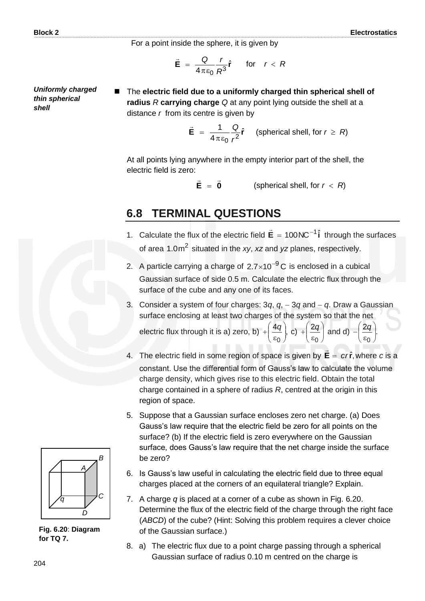For a point inside the sphere, it is given by

$$
\vec{\mathbf{E}} = \frac{Q}{4\pi\epsilon_0} \frac{r}{R^3} \hat{\mathbf{r}} \quad \text{for} \quad r < R
$$

*Uniformly charged thin spherical shell*

 The **electric field due to a uniformly charged thin spherical shell of radius** *R* **carrying charge** *Q* at any point lying outside the shell at a distance *r* from its centre is given by

$$
\vec{E} = \frac{1}{4\pi\epsilon_0} \frac{Q}{r^2} \hat{r}
$$
 (spherical shell, for  $r \ge R$ )

At all points lying anywhere in the empty interior part of the shell, the electric field is zero:

 $E = 0$  $\frac{1}{2}$   $\frac{1}{2}$ (spherical shell, for  $r < R$ )

#### **6.8 TERMINAL QUESTIONS**

- 1. Calculate the flux of the electric field  $\vec{E} = 100NC^{-1}\hat{i}$  through the surfaces of area 1.0m<sup>2</sup> situated in the *xy*, *xz* and *yz* planes, respectively.
- 2. A particle carrying a charge of  $2.7\times10^{-9}$ C is enclosed in a cubical Gaussian surface of side 0.5 m. Calculate the electric flux through the surface of the cube and any one of its faces.
- 3. Consider a system of four charges:  $3q$ ,  $q$ ,  $-3q$  and  $-q$ . Draw a Gaussian surface enclosing at least two charges of the system so that the net electric flux through it is a) zero, b)  $+ \left( \frac{4q}{\pi} \right)$  $\frac{9}{0}$  $\bigg)$  $\left( \right)$  $\overline{\phantom{a}}$  $\overline{\phantom{a}}$ ſ  $\epsilon$  $+\left(\frac{4q}{s_0}\right)$ , c)  $+\left(\frac{2q}{s_0}\right)$ J  $\left( \right)$  $\overline{\phantom{a}}$  $\overline{\phantom{0}}$ ſ  $\epsilon$  $^{+}$ 0  $\frac{2q}{q}$  and d)  $-\left(\frac{2q}{q}\right)$ .  $\frac{q}{\sqrt{q}}$  $\bigg)$  $\left( \frac{1}{2} \right)$ l  $\overline{\phantom{a}}$ ſ  $\epsilon$ *q*
- 4. The electric field in some region of space is given by  $\mathbf{E} = c r \hat{\mathbf{r}}$ ,  $\rightarrow$ where *c* is a constant. Use the differential form of Gauss's law to calculate the volume charge density, which gives rise to this electric field. Obtain the total charge contained in a sphere of radius *R*, centred at the origin in this region of space.
- 5. Suppose that a Gaussian surface encloses zero net charge. (a) Does Gauss's law require that the electric field be zero for all points on the surface? (b) If the electric field is zero everywhere on the Gaussian surface, does Gauss's law require that the net charge inside the surface be zero?
- 6. Is Gauss's law useful in calculating the electric field due to three equal charges placed at the corners of an equilateral triangle? Explain.
- 7. A charge *q* is placed at a corner of a cube as shown in Fig. 6.20. Determine the flux of the electric field of the charge through the right face (*ABCD*) of the cube? (Hint: Solving this problem requires a clever choice of the Gaussian surface.)
- 8. a) The electric flux due to a point charge passing through a spherical Gaussian surface of radius 0.10 m centred on the charge is



**Fig. 6.20**: **Diagram for TQ 7.**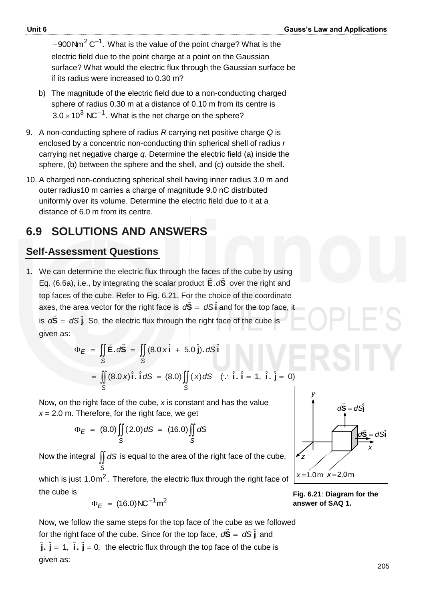$-$ 900 Nm $\rm ^2C^{-1}.$  What is the value of the point charge? What is the electric field due to the point charge at a point on the Gaussian surface? What would the electric flux through the Gaussian surface be if its radius were increased to 0.30 m?

- b) The magnitude of the electric field due to a non-conducting charged sphere of radius 0.30 m at a distance of 0.10 m from its centre is  $3.0 \times 10^3$  NC<sup>-1</sup>. What is the net charge on the sphere?
- 9. A non-conducting sphere of radius *R* carrying net positive charge *Q* is enclosed by a concentric non-conducting thin spherical shell of radius *r* carrying net negative charge *q*. Determine the electric field (a) inside the sphere, (b) between the sphere and the shell, and (c) outside the shell.
- 10. A charged non-conducting spherical shell having inner radius 3.0 m and outer radius10 m carries a charge of magnitude 9.0 nC distributed uniformly over its volume. Determine the electric field due to it at a distance of 6.0 m from its centre.

## **6.9 SOLUTIONS AND ANSWERS**

#### **Self-Assessment Questions**

1. We can determine the electric flux through the faces of the cube by using Eq. (6.6a), i.e., by integrating the scalar product **E**.d**S** over the right and top faces of the cube. Refer to Fig. 6.21. For the choice of the coordinate axes, the area vector for the right face is  $d\vec{S} = dS\hat{i}$  and for the top face, it is  $d\vec{S} = dS\hat{j}$ . .<br>پ So, the electric flux through the right face of the cube is given as:

$$
\Phi_E = \iint_S \vec{E} \cdot d\vec{S} = \iint_S (8.0 \times \hat{i} + 5.0 \hat{j}) \cdot dS \hat{i}
$$
  
= 
$$
\iint_S (8.0 \times \hat{i} \cdot \hat{i} dS = (8.0) \iint_S (x) dS \quad (\because \hat{i} \cdot \hat{i} = 1, \hat{i} \cdot \hat{j} = 0)
$$

Now, on the right face of the cube, 
$$
x
$$
 is constant and has the value  $x = 2.0$  m. Therefore, for the right face, we get

$$
\Phi_E = (8.0) \iint_S (2.0) dS = (16.0) \iint_S dS
$$

Now the integral  $\iint dS$  is equal to the area of the right face of the cube, *S*

which is just 1.0m<sup>2</sup>. Therefore, the electric flux through the right face of the cube is

$$
\Phi_E = (16.0) \text{NC}^{-1} \text{m}^2
$$

Now, we follow the same steps for the top face of the cube as we followed for the right face of the cube. Since for the top face,  $d\vec{\textbf{S}} = d\textbf{S}\,\hat{\textbf{j}}$ ں<br>= and  $\hat{j}$ .  $\hat{j}$  = 1,  $\hat{i}$ .  $\hat{j}$  = 0, the electric flux through the top face of the cube is given as:

**Fig. 6.21**: **Diagram for the answer of SAQ 1.**



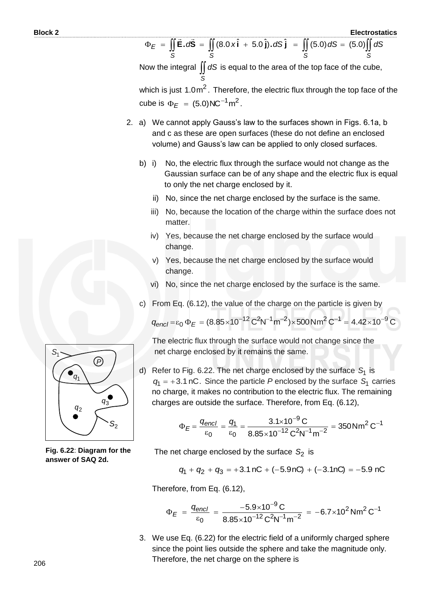$\Phi_E = \iint \vec{E} \cdot d\vec{S} = \iint (8.0 \times \hat{i} +$ *S S*  $E = \iint \vec{E} \cdot d\vec{S} = \iint (8.0 \times \hat{i} + 5.0 \hat{j}) \cdot dS \hat{j}$  $=$   $\iint$ *S*  $(5.0)dS = (5.0)$ *S*  $(5.0)$ || dS

Now the integral  $\iint dS$  is equal to the area of the top face of the cube, *S*

which is just 1.0m<sup>2</sup>. Therefore, the electric flux through the top face of the cube is  $\Phi_E = (5.0) \text{NC}^{-1} \text{m}^2$ .

- 2. a) We cannot apply Gauss's law to the surfaces shown in Figs. 6.1a, b and c as these are open surfaces (these do not define an enclosed volume) and Gauss's law can be applied to only closed surfaces.
	- b) i) No, the electric flux through the surface would not change as the Gaussian surface can be of any shape and the electric flux is equal to only the net charge enclosed by it.
		- ii) No, since the net charge enclosed by the surface is the same.
		- iii) No, because the location of the charge within the surface does not matter.
		- iv) Yes, because the net charge enclosed by the surface would change.
		- v) Yes, because the net charge enclosed by the surface would change.
		- vi) No, since the net charge enclosed by the surface is the same.
	- c) From Eq. (6.12), the value of the charge on the particle is given by

 $q_{encl} = \varepsilon_0 \Phi_E = (8.85 \times 10^{-12} \text{ C}^2 \text{N}^{-1} \text{m}^{-2}) \times 500 \text{ N} \text{m}^2 \text{ C}^{-1} = 4.42 \times 10^{-9} \text{ C}$ 

The electric flux through the surface would not change since the net charge enclosed by it remains the same.

d) Refer to Fig. 6.22. The net charge enclosed by the surface S<sub>1</sub> is  $q_1 = +3.1$  nC. Since the particle P enclosed by the surface  $S_1$  carries no charge, it makes no contribution to the electric flux. The remaining charges are outside the surface. Therefore, from Eq. (6.12),

$$
\Phi_E = \frac{q_{\text{encl}}}{\epsilon_0} = \frac{q_1}{\epsilon_0} = \frac{3.1 \times 10^{-9} \,\text{C}}{8.85 \times 10^{-12} \,\text{C}^2 \text{N}^{-1} \text{m}^{-2}} = 350 \,\text{N} \text{m}^2 \,\text{C}^{-1}
$$

The net charge enclosed by the surface  $S_2$  is

$$
q_1 + q_2 + q_3 = +3.1 \,\text{nC} + (-5.9 \,\text{nC}) + (-3.1 \,\text{nC}) = -5.9 \,\text{nC}
$$

Therefore, from Eq. (6.12),

$$
\Phi_E = \frac{q_{\text{encl}}}{\varepsilon_0} = \frac{-5.9 \times 10^{-9} \,\text{C}}{8.85 \times 10^{-12} \,\text{C}^2 \text{N}^{-1} \text{m}^{-2}} = -6.7 \times 10^2 \,\text{N} \text{m}^2 \,\text{C}^{-1}
$$

3. We use Eq. (6.22) for the electric field of a uniformly charged sphere since the point lies outside the sphere and take the magnitude only. Therefore, the net charge on the sphere is



**Fig. 6.22**: **Diagram for the answer of SAQ 2d.**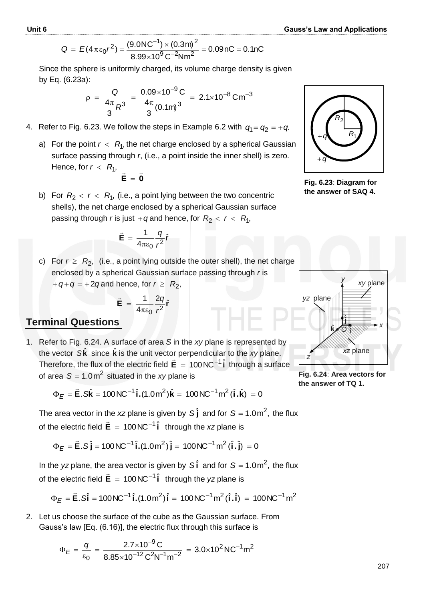$$
Q = E(4\pi\epsilon_0 r^2) = \frac{(9.0NC^{-1}) \times (0.3m)^2}{2.28 \times 10^{9} \text{ C}^{-2} \text{M} \cdot \text{s}^2} = 0.09nC = 0.1nC
$$

$$
8.99 \times 10^9 \text{ C}^{-2} \text{N} \text{m}^2
$$

Since the sphere is uniformly charged, its volume charge density is given by Eq. (6.23a):

$$
\rho = \frac{Q}{\frac{4\pi}{3}R^3} = \frac{0.09 \times 10^{-9} \text{ C}}{\frac{4\pi}{3}(0.1 \text{ m})^3} = 2.1 \times 10^{-8} \text{ C m}^{-3}
$$

- 4. Refer to Fig. 6.23. We follow the steps in Example 6.2 with  $\, q_{\scriptscriptstyle \rm I}^{} = q_{\scriptscriptstyle \rm Z}^{} = + q$ .
	- a) For the point  $r < R_1$ , the net charge enclosed by a spherical Gaussian surface passing through *r*, (i.e., a point inside the inner shell) is zero. Hence, for  $r < R_1$ ,  $\frac{1}{2}$   $\frac{1}{2}$

$$
\vec{\mathbf{E}} = \vec{\mathbf{0}}
$$

b) For  $R_2 < r < R_1$ , (i.e., a point lying between the two concentric shells), the net charge enclosed by a spherical Gaussian surface passing through *r* is just +*q* and hence, for  $R_2 < r < R_1$ ,

$$
\vec{\mathbf{E}} = \frac{1}{4\pi\varepsilon_0} \frac{q}{r^2} \hat{\mathbf{r}}
$$

c) For  $r \ge R_2$ , (i.e., a point lying outside the outer shell), the net charge enclosed by a spherical Gaussian surface passing through *r* is  $+q+q = +2q$  and hence, for  $r \geq R_2$ ,

$$
xy - \tau
$$
 and hence, for  $r \leq r$ 

$$
\vec{\mathbf{E}} = \frac{1}{4\pi\varepsilon_0} \frac{2q}{r^2} \hat{\mathbf{r}}
$$

#### **Terminal Questions**

1. Refer to Fig. 6.24. A surface of area *S* in the *xy* plane is represented by the vector  $S\hat{k}$  since  $\hat{k}$  is the unit vector perpendicular to the *xy* plane. Therefore, the flux of the electric field  $\vec{E} = 100 \text{NC}^{-1}\hat{i}$  through a surface of area  $S = 1.0$ m<sup>2</sup> situated in the *xy* plane is

$$
\Phi_E = \vec{E}.\,\hat{S}\hat{k} = 100\,\text{NC}^{-1}\,\hat{i}.(1.0\,\text{m}^2)\hat{k} = 100\,\text{NC}^{-1}\,\text{m}^2\,(\hat{i}.\hat{k}) = 0
$$

The area vector in the xz plane is given by S  $\hat{\textbf{j}}$  and for S = 1.0m<sup>2</sup>, the flux of the electric field  $\vec{E} = 100 \text{NC}^{-1}\hat{i}$ through the *xz* plane is

$$
\Phi_E = \vec{E}.\hat{S}\hat{j} = 100NC^{-1}\hat{i}.(1.0m^2)\hat{j} = 100NC^{-1}m^2(\hat{i}.\hat{j}) = 0
$$

In the yz plane, the area vector is given by  $S\hat{i}$  and for  $S = 1.0 \text{m}^2$ , the flux of the electric field  $\vec{E} = 100NC^{-1}\hat{i}$ through the *yz* plane is

$$
\Phi_E = \vec{E}.\hat{Si} = 100 \text{NC}^{-1} \hat{i}.(1.0 \text{m}^2) \hat{i} = 100 \text{NC}^{-1} \text{m}^2 (\hat{i}.\hat{i}) = 100 \text{NC}^{-1} \text{m}^2
$$

2. Let us choose the surface of the cube as the Gaussian surface. From Gauss's law [Eq. (6.16)], the electric flux through this surface is

$$
\Phi_E = \frac{q}{\epsilon_0} = \frac{2.7 \times 10^{-9} \text{C}}{8.85 \times 10^{-12} \text{C}^2 \text{N}^{-1} \text{m}^{-2}} = 3.0 \times 10^2 \text{N} \text{C}^{-1} \text{m}^2
$$



**Fig. 6.23**: **Diagram for the answer of SAQ 4.**



**Fig. 6.24**: **Area vectors for the answer of TQ 1.**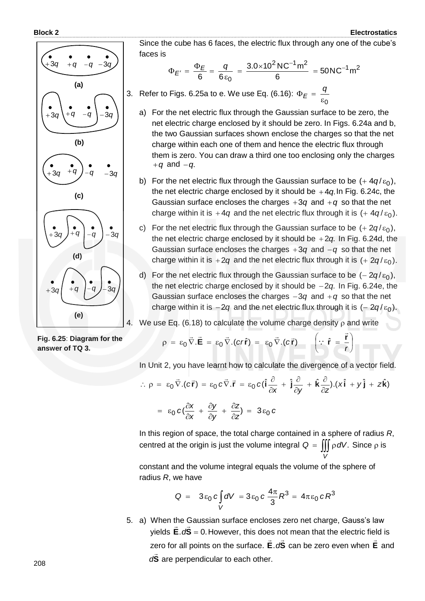

Since the cube has 6 faces, the electric flux through any one of the cube's faces is

$$
\Phi_{E'} = \frac{\Phi_E}{6} = \frac{q}{6\epsilon_0} = \frac{3.0 \times 10^2 \,\text{NC}^{-1}\,\text{m}^2}{6} = 50 \,\text{NC}^{-1}\,\text{m}^2
$$

3. Refer to Figs. 6.25a to e. We use Eq. (6.16):  $\varepsilon_0$  $\Phi_E = \frac{q}{q}$ *E*

- a) For the net electric flux through the Gaussian surface to be zero, the net electric charge enclosed by it should be zero. In Figs. 6.24a and b, the two Gaussian surfaces shown enclose the charges so that the net charge within each one of them and hence the electric flux through them is zero. You can draw a third one too enclosing only the charges  $+q$  and  $-q$ .
- b) For the net electric flux through the Gaussian surface to be  $(+4q/\varepsilon_0)$ , the net electric charge enclosed by it should be  $+4q$  In Fig. 6.24c, the Gaussian surface encloses the charges  $+3q$  and  $+q$  so that the net charge within it is +4q and the net electric flux through it is (+ 4q/ $\varepsilon_0$ ).
- c) For the net electric flux through the Gaussian surface to be  $(+ 2q/\varepsilon_0)$ , the net electric charge enclosed by it should be +2q. In Fig. 6.24d, the Gaussian surface encloses the charges  $+3q$  and  $-q$  so that the net charge within it is  $+2q$  and the net electric flux through it is  $(+2q/\varepsilon_0).$
- d) For the net electric flux through the Gaussian surface to be  $(-2q/\varepsilon_0)$ , the net electric charge enclosed by it should be  $-2q$ . In Fig. 6.24e, the Gaussian surface encloses the charges  $-3q$  and  $+q$  so that the net charge within it is  $-2q$  and the net electric flux through it is  $(-2q/\varepsilon_0).$

4. We use Eq. (6.18) to calculate the volume charge density  $\rho$  and write

**Fig. 6.25**: **Diagram for the answer of TQ 3.**

$$
\rho = \varepsilon_0 \vec{\nabla} . \vec{E} = \varepsilon_0 \vec{\nabla} . (c r \hat{r}) = \varepsilon_0 \vec{\nabla} . (c \vec{r}) \qquad \left( \because \hat{r} = \frac{\vec{r}}{r} \right)
$$

In Unit 2, you have learnt how to calculate the divergence of a vector field.

$$
\therefore \rho = \varepsilon_0 \vec{\nabla} \cdot (c\vec{r}) = \varepsilon_0 c \vec{\nabla} \cdot \vec{r} = \varepsilon_0 c (\hat{i} \frac{\partial}{\partial x} + \hat{j} \frac{\partial}{\partial y} + \hat{k} \frac{\partial}{\partial z}) \cdot (x\hat{i} + y\hat{j} + z\hat{k})
$$

$$
= \varepsilon_0 c (\frac{\partial x}{\partial x} + \frac{\partial y}{\partial y} + \frac{\partial z}{\partial z}) = 3\varepsilon_0 c
$$

$$
^{50}
$$
  $^{\circ}$   $^{\circ}$   $\partial x$   $\partial y$   $\partial z'$   $^{50}$   $\partial z'$   
his region of space. the total charge contained in a

In this region of space, the total charge contained in a sphere of radius *R*, centred at the origin is just the volume integral  $Q = \iiint \rho dV$ . Since  $\rho$  is *V*

constant and the volume integral equals the volume of the sphere of radius *R*, we have

$$
Q = 3\epsilon_0 c \int_V dV = 3\epsilon_0 c \frac{4\pi}{3} R^3 = 4\pi \epsilon_0 c R^3
$$

5. a) When the Gaussian surface encloses zero net charge, Gauss's law yields  $\mathbf{E} \cdot d\mathbf{S} = 0$ . However, this does not mean that the electric field is zero for all points on the surface. E.dS -<br>→ → → .d<sup>S</sup> can be zero even when E  $\rightarrow$  and **S**  $\overline{a}$ d<sup>S</sup> are perpendicular to each other.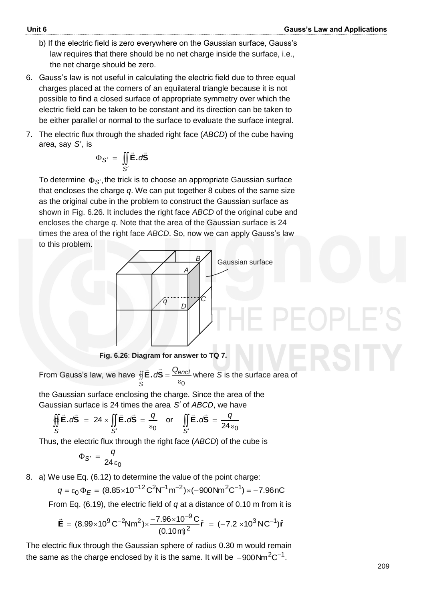- b) If the electric field is zero everywhere on the Gaussian surface, Gauss's law requires that there should be no net charge inside the surface, i.e., the net charge should be zero.
- 6. Gauss's law is not useful in calculating the electric field due to three equal charges placed at the corners of an equilateral triangle because it is not possible to find a closed surface of appropriate symmetry over which the electric field can be taken to be constant and its direction can be taken to be either parallel or normal to the surface to evaluate the surface integral.
- 7. The electric flux through the shaded right face (*ABCD*) of the cube having area, say *S* , is

$$
\Phi_{S'} = \iint_{S'} \vec{E} \cdot d\vec{S}
$$

To determine  $\Phi_{\mathcal{S}'},$  the trick is to choose an appropriate Gaussian surface that encloses the charge *q*. We can put together 8 cubes of the same size as the original cube in the problem to construct the Gaussian surface as shown in Fig. 6.26. It includes the right face *ABCD* of the original cube and encloses the charge *q*. Note that the area of the Gaussian surface is 24 times the area of the right face *ABCD*. So, now we can apply Gauss's law to this problem.



**Fig. 6.26**: **Diagram for answer to TQ 7.** 

From Gauss's law, we have 0  $\frac{d}{d\vec{B}} \vec{E} \cdot d\vec{S} = \frac{Q_{\text{enc}}}{\epsilon_0}$ *S*  $\frac{1}{2}$   $\frac{1}{2}$ where *S* is the surface area of

the Gaussian surface enclosing the charge. Since the area of the Gaussian surface is 24 times the area S' of ABCD, we have

$$
\oint_{S} \vec{E} \cdot d\vec{S} = 24 \times \iint_{S'} \vec{E} \cdot d\vec{S} = \frac{q}{\epsilon_0} \quad \text{or} \quad \iint_{S'} \vec{E} \cdot d\vec{S} = \frac{q}{24 \epsilon_0}
$$

Thus, the electric flux through the right face (*ABCD*) of the cube is

$$
\Phi_{S'} = \frac{q}{24\,\varepsilon_0}
$$

8. a) We use Eq. (6.12) to determine the value of the point charge:

$$
q = \varepsilon_0 \Phi_E = (8.85 \times 10^{-12} \, \text{C}^2 \text{N}^{-1} \text{m}^{-2}) \times (-900 \, \text{N} \text{m}^2 \text{C}^{-1}) = -7.96 \, \text{nC}
$$

From Eq. (6.19), the electric field of *q* at a distance of 0.10 m from it is

$$
\vec{E} = (8.99 \times 10^{9} \text{ C}^{-2} \text{Nm}^{2}) \times \frac{-7.96 \times 10^{-9} \text{ C}}{(0.10 \text{ m})^{2}} \hat{r} = (-7.2 \times 10^{3} \text{ N C}^{-1}) \hat{r}
$$

The electric flux through the Gaussian sphere of radius 0.30 m would remain the same as the charge enclosed by it is the same. It will be  $-900$ Nm $^2\text{C}^{-1}.$